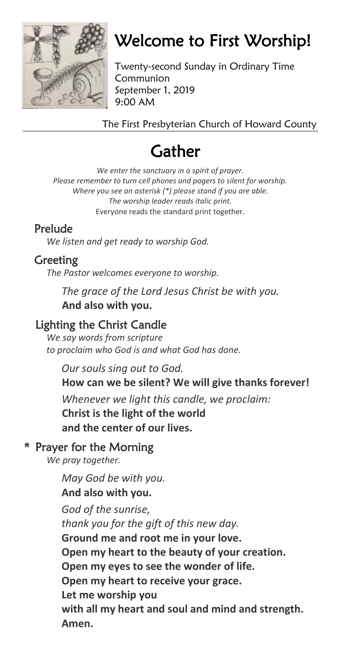

# Welcome to First Worship!

Twenty-second Sunday in Ordinary Time Communion September 1, 2019 9:00 AM

The First Presbyterian Church of Howard County

# **Gather**

*We enter the sanctuary in a spirit of prayer. Please remember to turn cell phones and pagers to silent for worship. Where you see an asterisk (\*) please stand if you are able. The worship leader reads italic print.* Everyone reads the standard print together.

# Prelude

*We listen and get ready to worship God.*

# Greeting

*The Pastor welcomes everyone to worship.*

*The grace of the Lord Jesus Christ be with you.* **And also with you.**

# Lighting the Christ Candle

*We say words from scripture to proclaim who God is and what God has done.*

*Our souls sing out to God.*

# **How can we be silent? We will give thanks forever!**

*Whenever we light this candle, we proclaim:* **Christ is the light of the world and the center of our lives.**

# \* Prayer for the Morning

*We pray together.*

*May God be with you.* **And also with you.** *God of the sunrise,* 

*thank you for the gift of this new day.* **Ground me and root me in your love. Open my heart to the beauty of your creation. Open my eyes to see the wonder of life. Open my heart to receive your grace. Let me worship you with all my heart and soul and mind and strength. Amen.**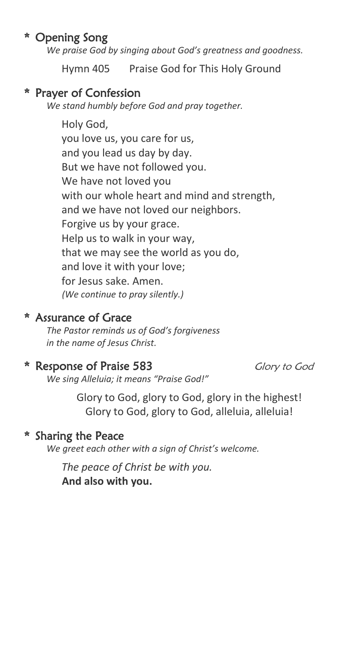# \* Opening Song

*We praise God by singing about God's greatness and goodness.*

Hymn 405 Praise God for This Holy Ground

### \* Prayer of Confession

*We stand humbly before God and pray together.*

Holy God, you love us, you care for us, and you lead us day by day. But we have not followed you. We have not loved you with our whole heart and mind and strength, and we have not loved our neighbors. Forgive us by your grace. Help us to walk in your way, that we may see the world as you do, and love it with your love; for Jesus sake. Amen. *(We continue to pray silently.)*

### \* Assurance of Grace

*The Pastor reminds us of God's forgiveness in the name of Jesus Christ.*

# \* Response of Praise 583 Glory to God

*We sing Alleluia; it means "Praise God!"*

Glory to God, glory to God, glory in the highest! Glory to God, glory to God, alleluia, alleluia!

## \* Sharing the Peace

*We greet each other with a sign of Christ's welcome.*

*The peace of Christ be with you.* **And also with you.**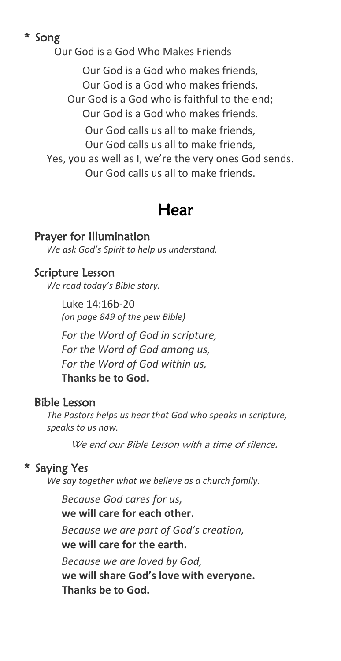# \* Song

Our God is a God Who Makes Friends

Our God is a God who makes friends, Our God is a God who makes friends, Our God is a God who is faithful to the end; Our God is a God who makes friends. Our God calls us all to make friends, Our God calls us all to make friends, Yes, you as well as I, we're the very ones God sends.

Our God calls us all to make friends.

# Hear

### Prayer for Illumination

*We ask God's Spirit to help us understand.*

### Scripture Lesson

*We read today's Bible story.*

Luke 14:16b-20 *(on page 849 of the pew Bible)*

*For the Word of God in scripture, For the Word of God among us, For the Word of God within us,* **Thanks be to God.**

## Bible Lesson

*The Pastors helps us hear that God who speaks in scripture, speaks to us now.* 

We end our Bible Lesson with a time of silence.

## \* Saying Yes

*We say together what we believe as a church family.*

*Because God cares for us,* **we will care for each other.** *Because we are part of God's creation,* **we will care for the earth.** *Because we are loved by God,* **we will share God's love with everyone.**

**Thanks be to God.**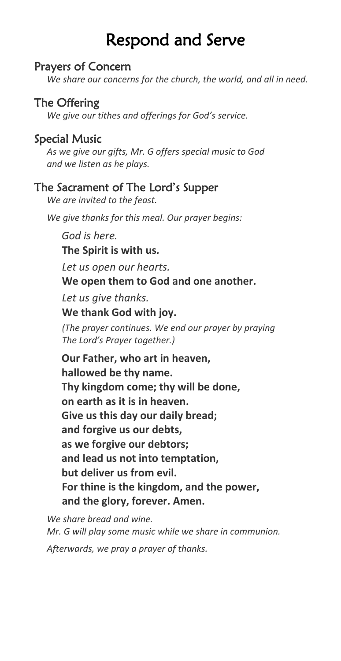# Respond and Serve

### Prayers of Concern

*We share our concerns for the church, the world, and all in need.*

# The Offering

*We give our tithes and offerings for God's service.*

# Special Music

*As we give our gifts, Mr. G offers special music to God and we listen as he plays.*

## The Sacrament of The Lord's Supper

*We are invited to the feast.*

*We give thanks for this meal. Our prayer begins:*

*God is here.*

**The Spirit is with us***.*

*Let us open our hearts.*

**We open them to God and one another.**

*Let us give thanks.*

**We thank God with joy.**

*(The prayer continues. We end our prayer by praying The Lord's Prayer together.)* 

**Our Father, who art in heaven, hallowed be thy name. Thy kingdom come; thy will be done, on earth as it is in heaven. Give us this day our daily bread; and forgive us our debts, as we forgive our debtors; and lead us not into temptation, but deliver us from evil. For thine is the kingdom, and the power, and the glory, forever. Amen.**

*We share bread and wine. Mr. G will play some music while we share in communion.*

*Afterwards, we pray a prayer of thanks.*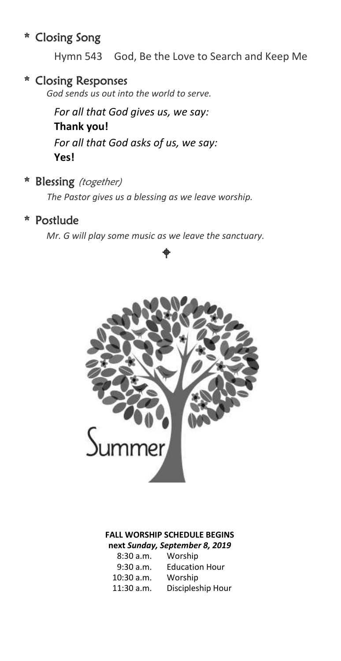# \* Closing Song

Hymn 543 God, Be the Love to Search and Keep Me

### \* Closing Responses

*God sends us out into the world to serve.*

*For all that God gives us, we say:* **Thank you!** *For all that God asks of us, we say:* **Yes!**

### \* Blessing (together)

*The Pastor gives us a blessing as we leave worship.*

### \* Postlude

*Mr. G will play some music as we leave the sanctuary.*

 $\bullet$ 



### **FALL WORSHIP SCHEDULE BEGINS next** *Sunday, September 8, 2019*

| 8:30a.m.     | Worship               |
|--------------|-----------------------|
| $9:30$ a.m.  | <b>Education Hour</b> |
| $10:30$ a.m. | Worship               |
| $11:30$ a.m. | Discipleship Hour     |
|              |                       |